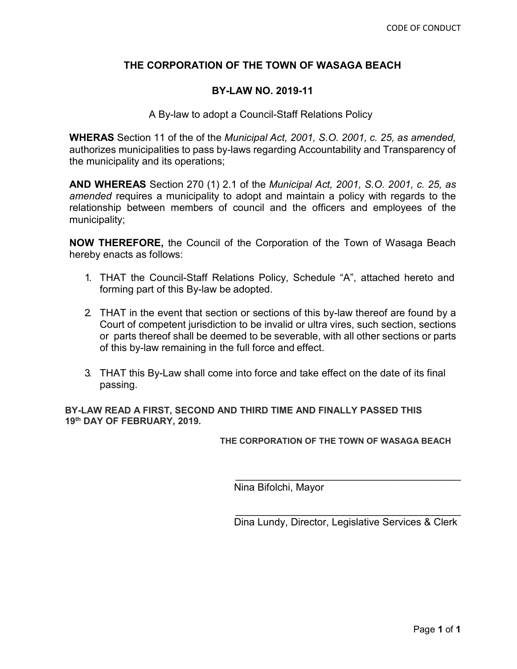#### **THE CORPORATION OF THE TOWN OF WASAGA BEACH**

#### **BY-LAW NO. 2019-11**

A By-law to adopt a Council-Staff Relations Policy

**WHERAS** Section 11 of the of the *Municipal Act, 2001, S.O. 2001, c. 25, as amended,*  authorizes municipalities to pass by-laws regarding Accountability and Transparency of the municipality and its operations;

**AND WHEREAS** Section 270 (1) 2.1 of the *Municipal Act, 2001, S.O. 2001, c. 25, as amended* requires a municipality to adopt and maintain a policy with regards to the relationship between members of council and the officers and employees of the municipality;

**NOW THEREFORE,** the Council of the Corporation of the Town of Wasaga Beach hereby enacts as follows:

- 1. THAT the Council-Staff Relations Policy, Schedule "A", attached hereto and forming part of this By-law be adopted.
- 2. THAT in the event that section or sections of this by-law thereof are found by a Court of competent jurisdiction to be invalid or ultra vires, such section, sections or parts thereof shall be deemed to be severable, with all other sections or parts of this by-law remaining in the full force and effect.
- 3. THAT this By-Law shall come into force and take effect on the date of its final passing.

**BY-LAW READ A FIRST, SECOND AND THIRD TIME AND FINALLY PASSED THIS 19th DAY OF FEBRUARY, 2019.**

**THE CORPORATION OF THE TOWN OF WASAGA BEACH**

Nina Bifolchi, Mayor

\_\_\_\_\_\_\_\_\_\_\_\_\_\_\_\_\_\_\_\_\_\_\_\_\_\_\_\_\_\_\_\_\_\_\_\_\_\_\_\_ Dina Lundy, Director, Legislative Services & Clerk

\_\_\_\_\_\_\_\_\_\_\_\_\_\_\_\_\_\_\_\_\_\_\_\_\_\_\_\_\_\_\_\_\_\_\_\_\_\_\_\_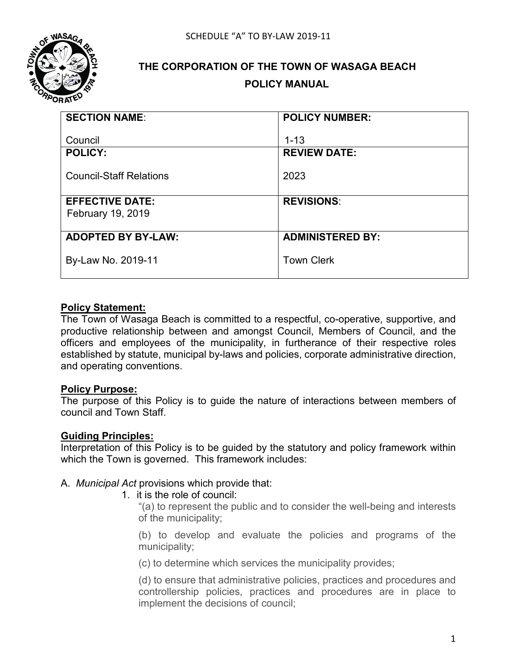

# **THE CORPORATION OF THE TOWN OF WASAGA BEACH POLICY MANUAL**

| <b>SECTION NAME:</b>           | <b>POLICY NUMBER:</b>   |  |
|--------------------------------|-------------------------|--|
| Council                        | $1 - 13$                |  |
| <b>POLICY:</b>                 | <b>REVIEW DATE:</b>     |  |
| <b>Council-Staff Relations</b> | 2023                    |  |
| <b>EFFECTIVE DATE:</b>         | <b>REVISIONS:</b>       |  |
| February 19, 2019              |                         |  |
|                                |                         |  |
| <b>ADOPTED BY BY-LAW:</b>      | <b>ADMINISTERED BY:</b> |  |
| By-Law No. 2019-11             | <b>Town Clerk</b>       |  |

## **Policy Statement:**

The Town of Wasaga Beach is committed to a respectful, co-operative, supportive, and productive relationship between and amongst Council, Members of Council, and the officers and employees of the municipality, in furtherance of their respective roles established by statute, municipal by-laws and policies, corporate administrative direction, and operating conventions.

#### **Policy Purpose:**

The purpose of this Policy is to guide the nature of interactions between members of council and Town Staff.

#### **Guiding Principles:**

Interpretation of this Policy is to be guided by the statutory and policy framework within which the Town is governed. This framework includes:

#### A. *Municipal Act* provisions which provide that:

1. it is the role of council:

"(a) to represent the public and to consider the well-being and interests of the municipality;

(b) to develop and evaluate the policies and programs of the municipality;

(c) to determine which services the municipality provides;

(d) to ensure that administrative policies, practices and procedures and controllership policies, practices and procedures are in place to implement the decisions of council;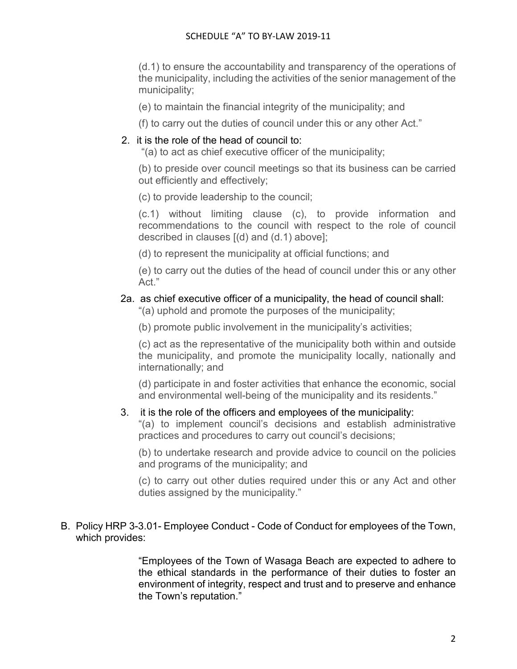(d.1) to ensure the accountability and transparency of the operations of the municipality, including the activities of the senior management of the municipality;

- (e) to maintain the financial integrity of the municipality; and
- (f) to carry out the duties of council under this or any other Act."

## 2. it is the role of the head of council to:

"(a) to act as chief executive officer of the municipality;

(b) to preside over council meetings so that its business can be carried out efficiently and effectively;

(c) to provide leadership to the council;

(c.1) without limiting clause (c), to provide information and recommendations to the council with respect to the role of council described in clauses [(d) and (d.1) above];

(d) to represent the municipality at official functions; and

(e) to carry out the duties of the head of council under this or any other Act."

## 2a. as chief executive officer of a municipality, the head of council shall:

"(a) uphold and promote the purposes of the municipality;

(b) promote public involvement in the municipality's activities;

(c) act as the representative of the municipality both within and outside the municipality, and promote the municipality locally, nationally and internationally; and

(d) participate in and foster activities that enhance the economic, social and environmental well-being of the municipality and its residents."

#### 3. it is the role of the officers and employees of the municipality:

"(a) to implement council's decisions and establish administrative practices and procedures to carry out council's decisions;

(b) to undertake research and provide advice to council on the policies and programs of the municipality; and

(c) to carry out other duties required under this or any Act and other duties assigned by the municipality."

#### B. Policy HRP 3-3.01- Employee Conduct - Code of Conduct for employees of the Town, which provides:

"Employees of the Town of Wasaga Beach are expected to adhere to the ethical standards in the performance of their duties to foster an environment of integrity, respect and trust and to preserve and enhance the Town's reputation."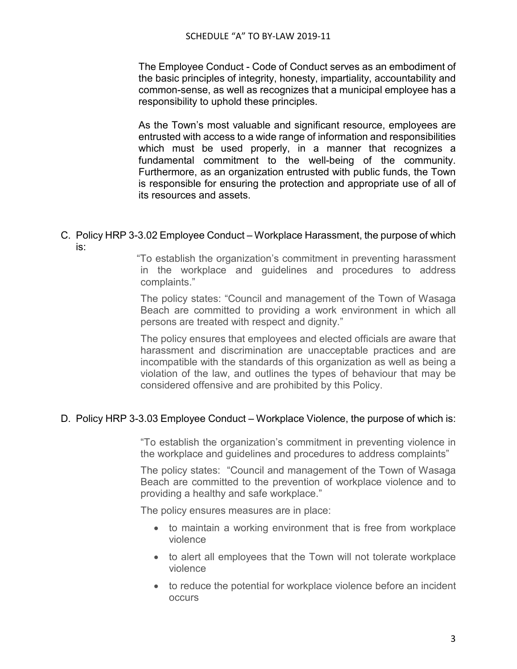The Employee Conduct - Code of Conduct serves as an embodiment of the basic principles of integrity, honesty, impartiality, accountability and common-sense, as well as recognizes that a municipal employee has a responsibility to uphold these principles.

As the Town's most valuable and significant resource, employees are entrusted with access to a wide range of information and responsibilities which must be used properly, in a manner that recognizes a fundamental commitment to the well-being of the community. Furthermore, as an organization entrusted with public funds, the Town is responsible for ensuring the protection and appropriate use of all of its resources and assets.

#### C. Policy HRP 3-3.02 Employee Conduct – Workplace Harassment, the purpose of which is:

"To establish the organization's commitment in preventing harassment in the workplace and guidelines and procedures to address complaints."

The policy states: "Council and management of the Town of Wasaga Beach are committed to providing a work environment in which all persons are treated with respect and dignity."

The policy ensures that employees and elected officials are aware that harassment and discrimination are unacceptable practices and are incompatible with the standards of this organization as well as being a violation of the law, and outlines the types of behaviour that may be considered offensive and are prohibited by this Policy.

#### D. Policy HRP 3-3.03 Employee Conduct – Workplace Violence, the purpose of which is:

"To establish the organization's commitment in preventing violence in the workplace and guidelines and procedures to address complaints"

The policy states: "Council and management of the Town of Wasaga Beach are committed to the prevention of workplace violence and to providing a healthy and safe workplace."

The policy ensures measures are in place:

- to maintain a working environment that is free from workplace violence
- to alert all employees that the Town will not tolerate workplace violence
- to reduce the potential for workplace violence before an incident occurs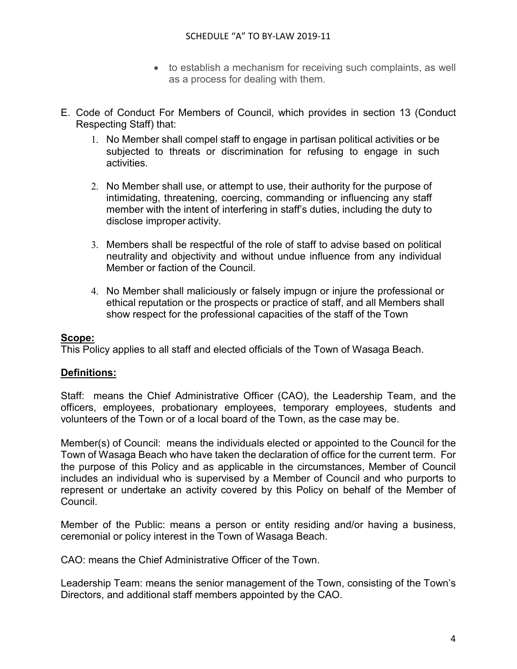- to establish a mechanism for receiving such complaints, as well as a process for dealing with them.
- E. Code of Conduct For Members of Council, which provides in section 13 (Conduct Respecting Staff) that:
	- 1. No Member shall compel staff to engage in partisan political activities or be subjected to threats or discrimination for refusing to engage in such activities.
	- 2. No Member shall use, or attempt to use, their authority for the purpose of intimidating, threatening, coercing, commanding or influencing any staff member with the intent of interfering in staff's duties, including the duty to disclose improper activity.
	- 3. Members shall be respectful of the role of staff to advise based on political neutrality and objectivity and without undue influence from any individual Member or faction of the Council.
	- 4. No Member shall maliciously or falsely impugn or injure the professional or ethical reputation or the prospects or practice of staff, and all Members shall show respect for the professional capacities of the staff of the Town

## **Scope:**

This Policy applies to all staff and elected officials of the Town of Wasaga Beach.

# **Definitions:**

Staff: means the Chief Administrative Officer (CAO), the Leadership Team, and the officers, employees, probationary employees, temporary employees, students and volunteers of the Town or of a local board of the Town, as the case may be.

Member(s) of Council: means the individuals elected or appointed to the Council for the Town of Wasaga Beach who have taken the declaration of office for the current term. For the purpose of this Policy and as applicable in the circumstances, Member of Council includes an individual who is supervised by a Member of Council and who purports to represent or undertake an activity covered by this Policy on behalf of the Member of Council.

Member of the Public: means a person or entity residing and/or having a business, ceremonial or policy interest in the Town of Wasaga Beach.

CAO: means the Chief Administrative Officer of the Town.

Leadership Team: means the senior management of the Town, consisting of the Town's Directors, and additional staff members appointed by the CAO.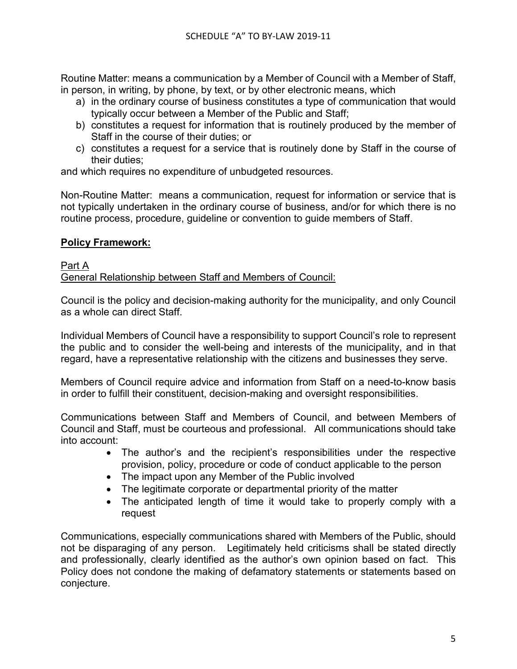Routine Matter: means a communication by a Member of Council with a Member of Staff, in person, in writing, by phone, by text, or by other electronic means, which

- a) in the ordinary course of business constitutes a type of communication that would typically occur between a Member of the Public and Staff;
- b) constitutes a request for information that is routinely produced by the member of Staff in the course of their duties; or
- c) constitutes a request for a service that is routinely done by Staff in the course of their duties;

and which requires no expenditure of unbudgeted resources.

Non-Routine Matter: means a communication, request for information or service that is not typically undertaken in the ordinary course of business, and/or for which there is no routine process, procedure, guideline or convention to guide members of Staff.

# **Policy Framework:**

#### Part A General Relationship between Staff and Members of Council:

Council is the policy and decision-making authority for the municipality, and only Council as a whole can direct Staff.

Individual Members of Council have a responsibility to support Council's role to represent the public and to consider the well-being and interests of the municipality, and in that regard, have a representative relationship with the citizens and businesses they serve.

Members of Council require advice and information from Staff on a need-to-know basis in order to fulfill their constituent, decision-making and oversight responsibilities.

Communications between Staff and Members of Council, and between Members of Council and Staff, must be courteous and professional. All communications should take into account:

- The author's and the recipient's responsibilities under the respective provision, policy, procedure or code of conduct applicable to the person
- The impact upon any Member of the Public involved
- The legitimate corporate or departmental priority of the matter
- The anticipated length of time it would take to properly comply with a request

Communications, especially communications shared with Members of the Public, should not be disparaging of any person. Legitimately held criticisms shall be stated directly and professionally, clearly identified as the author's own opinion based on fact. This Policy does not condone the making of defamatory statements or statements based on conjecture.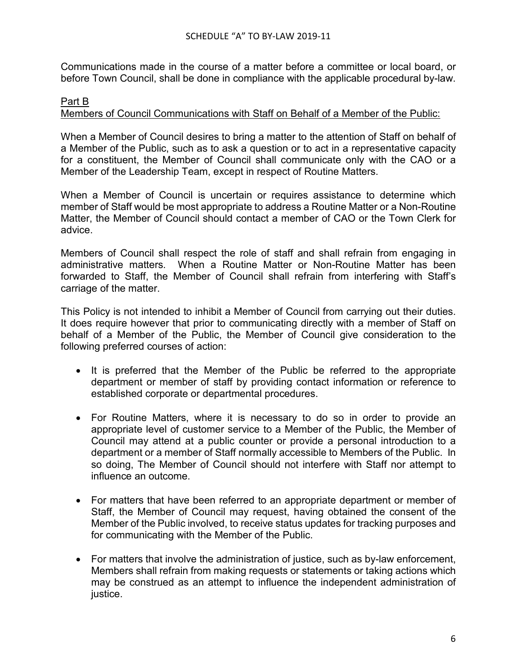Communications made in the course of a matter before a committee or local board, or before Town Council, shall be done in compliance with the applicable procedural by-law.

#### Part B Members of Council Communications with Staff on Behalf of a Member of the Public:

When a Member of Council desires to bring a matter to the attention of Staff on behalf of a Member of the Public, such as to ask a question or to act in a representative capacity for a constituent, the Member of Council shall communicate only with the CAO or a Member of the Leadership Team, except in respect of Routine Matters.

When a Member of Council is uncertain or requires assistance to determine which member of Staff would be most appropriate to address a Routine Matter or a Non-Routine Matter, the Member of Council should contact a member of CAO or the Town Clerk for advice.

Members of Council shall respect the role of staff and shall refrain from engaging in administrative matters. When a Routine Matter or Non-Routine Matter has been forwarded to Staff, the Member of Council shall refrain from interfering with Staff's carriage of the matter.

This Policy is not intended to inhibit a Member of Council from carrying out their duties. It does require however that prior to communicating directly with a member of Staff on behalf of a Member of the Public, the Member of Council give consideration to the following preferred courses of action:

- It is preferred that the Member of the Public be referred to the appropriate department or member of staff by providing contact information or reference to established corporate or departmental procedures.
- For Routine Matters, where it is necessary to do so in order to provide an appropriate level of customer service to a Member of the Public, the Member of Council may attend at a public counter or provide a personal introduction to a department or a member of Staff normally accessible to Members of the Public. In so doing, The Member of Council should not interfere with Staff nor attempt to influence an outcome.
- For matters that have been referred to an appropriate department or member of Staff, the Member of Council may request, having obtained the consent of the Member of the Public involved, to receive status updates for tracking purposes and for communicating with the Member of the Public.
- For matters that involve the administration of justice, such as by-law enforcement, Members shall refrain from making requests or statements or taking actions which may be construed as an attempt to influence the independent administration of justice.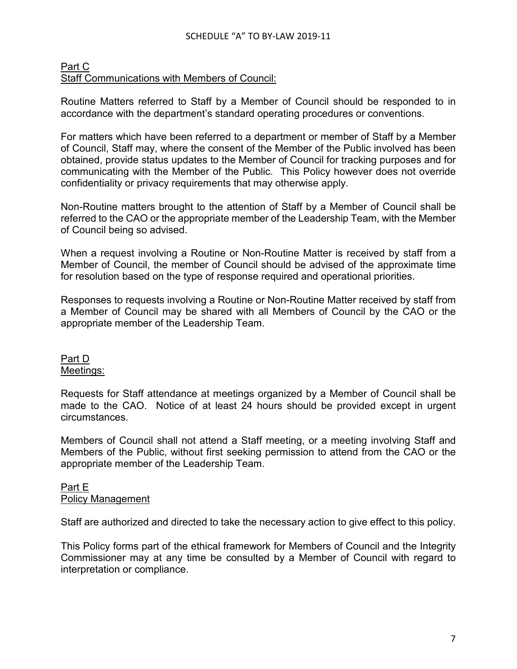## Part C Staff Communications with Members of Council:

Routine Matters referred to Staff by a Member of Council should be responded to in accordance with the department's standard operating procedures or conventions.

For matters which have been referred to a department or member of Staff by a Member of Council, Staff may, where the consent of the Member of the Public involved has been obtained, provide status updates to the Member of Council for tracking purposes and for communicating with the Member of the Public. This Policy however does not override confidentiality or privacy requirements that may otherwise apply.

Non-Routine matters brought to the attention of Staff by a Member of Council shall be referred to the CAO or the appropriate member of the Leadership Team, with the Member of Council being so advised.

When a request involving a Routine or Non-Routine Matter is received by staff from a Member of Council, the member of Council should be advised of the approximate time for resolution based on the type of response required and operational priorities.

Responses to requests involving a Routine or Non-Routine Matter received by staff from a Member of Council may be shared with all Members of Council by the CAO or the appropriate member of the Leadership Team.

# Part D Meetings:

Requests for Staff attendance at meetings organized by a Member of Council shall be made to the CAO. Notice of at least 24 hours should be provided except in urgent circumstances.

Members of Council shall not attend a Staff meeting, or a meeting involving Staff and Members of the Public, without first seeking permission to attend from the CAO or the appropriate member of the Leadership Team.

# Part E Policy Management

Staff are authorized and directed to take the necessary action to give effect to this policy.

This Policy forms part of the ethical framework for Members of Council and the Integrity Commissioner may at any time be consulted by a Member of Council with regard to interpretation or compliance.